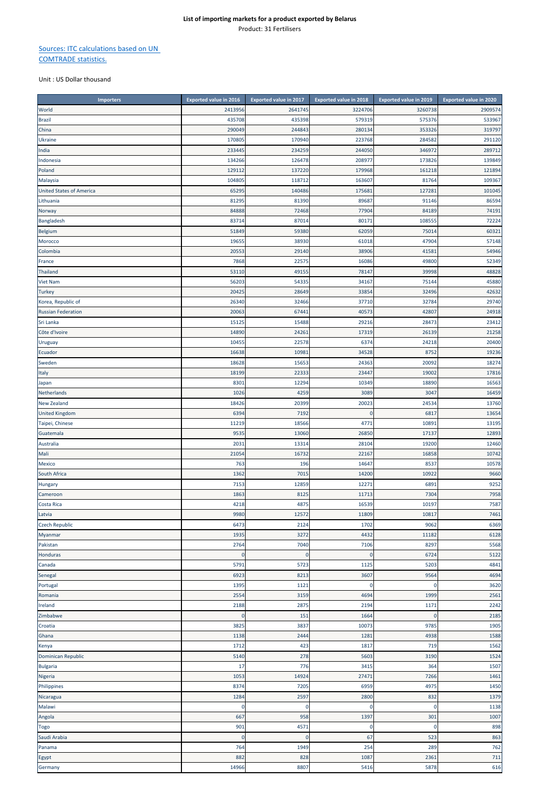## **List of importing markets for a product exported by Belarus** Product: 31 Fertilisers

## Sources: ITC calculations based on UN COMTRADE statistics.

Unit : US Dollar thousand

| 2413956<br>2641745<br>3224706<br>3260738<br>2909574<br>435708<br>435398<br>579319<br>533967<br>575376<br>319797<br>290049<br>244843<br>280134<br>353326<br>China<br>291120<br>170805<br>170940<br>223768<br>284582<br><b>Ukraine</b><br>233445<br>234259<br>244050<br>346972<br>289712<br>India<br>Indonesia<br>134266<br>126478<br>208977<br>173826<br>139849<br>129112<br>137220<br>179968<br>161218<br>121894<br>104805<br>118712<br>109367<br>163607<br>81764<br>101045<br>6529<br>140486<br>175681<br>127281<br>86594<br>8129<br>81390<br>89687<br>91146<br>74191<br>Norway<br>84888<br>72468<br>77904<br>84189<br>108555<br>72224<br>Bangladesh<br>83714<br>87014<br>80171<br>60321<br>51849<br>59380<br>62059<br>75014<br>Belgium<br>38930<br>61018<br>47904<br>57148<br>1965<br>Morocco<br>54946<br>20553<br>29140<br>38906<br>41581<br>7868<br>22575<br>16086<br>49800<br>52349<br>39998<br>48828<br>53110<br>49155<br>78147<br>75144<br>45880<br>56203<br>54335<br>34167<br>Turkey<br>20425<br>28649<br>33854<br>32496<br>42632<br>29740<br>Korea, Republic of<br>26340<br>32466<br>37710<br>32784<br>24918<br><b>Russian Federation</b><br>20063<br>67441<br>40573<br>42807<br>28473<br>23412<br>Sri Lanka<br>1512<br>15488<br>29216<br>21258<br>14890<br>24261<br>17319<br>26139<br>20400<br>10455<br>22578<br>6374<br>24218<br>19236<br>16638<br>10981<br>34528<br>8752<br>18274<br>18628<br>15653<br>24363<br>20092<br>22333<br>19002<br>18199<br>23447<br>17816<br>Italy<br>16563<br>8301<br>12294<br>10349<br>18890<br>Japan<br>1026<br>4259<br>3089<br>3047<br>16459<br>Netherlands<br>18426<br>20399<br>20023<br>24534<br>13760<br>New Zealand<br>6394<br>7192<br>$\mathbf 0$<br>6817<br>13654<br>10891<br>13195<br>11219<br>18566<br>4771<br>12893<br>953<br>13060<br>17137<br>26850<br>12460<br>203<br>13314<br>28104<br>19200<br>10742<br>21054<br>16732<br>22167<br>16858<br>10578<br>Mexico<br>763<br>196<br>14647<br>8537<br>7015<br>10922<br>9660<br>South Africa<br>1362<br>14200<br>7153<br>12859<br>12271<br>6891<br>9252<br>Hungary<br>1863<br>8125<br>7304<br>7958<br>11713<br>Cameroon<br>4218<br>4875<br>16539<br>10197<br>7587<br>9980<br>12572<br>10817<br>11809<br>6473<br>2124<br>1702<br>9062<br>6369<br>3272<br>1935<br>4432<br>6128<br>11182<br>Pakistan<br>2764<br>7040<br>7106<br>8297<br>5568<br>Honduras<br>$\mathbf 0$<br>$\mathbf 0$<br>6724<br>5122<br>$\mathbf 0$<br>Canada<br>5791<br>5723<br>1125<br>5203<br>4841<br>Senegal<br>6923<br>8213<br>3607<br>9564<br>4694<br>$\mathbf 0$<br>1395<br>1121<br>3620<br>0<br>2554<br>2561<br>3159<br>4694<br>1999<br>2188<br>2875<br>2194<br>2242<br>1171<br>151<br>1664<br>2185<br>$\overline{0}$<br>$\Omega$<br>10073<br>3825<br>3837<br>9785<br>1905<br>2444<br>4938<br>1588<br>1138<br>1281<br>1712<br>423<br>1817<br>719<br>1562<br>Kenya<br>Dominican Republic<br>5140<br>278<br>5603<br>3190<br>1524<br><b>Bulgaria</b><br>17<br>776<br>3415<br>1507<br>364<br>1053<br>14924<br>27471<br>7266<br>1461<br>8374<br>7205<br>6959<br>4975<br>1450<br>1284<br>2597<br>2800<br>832<br>1379<br>1138<br>$\mathbf 0$<br>0<br>$\mathbf 0$<br>$\epsilon$<br>667<br>958<br>1397<br>301<br>1007<br>901<br>4571<br>$\mathbf 0$<br>898<br>Togo<br>$\overline{0}$<br>67<br>523<br>863<br>Saudi Arabia<br>$\mathbf 0$<br>$\bf{0}$<br>764<br>1949<br>254<br>289<br>762<br>Panama<br>882<br>828<br>1087<br>2361<br>711<br>14966<br>8807<br>5416<br>5878 | <b>Importers</b>                | <b>Exported value in 2016</b> | <b>Exported value in 2017</b> | <b>Exported value in 2018</b> | <b>Exported value in 2019</b> | <b>Exported value in 2020</b> |
|-------------------------------------------------------------------------------------------------------------------------------------------------------------------------------------------------------------------------------------------------------------------------------------------------------------------------------------------------------------------------------------------------------------------------------------------------------------------------------------------------------------------------------------------------------------------------------------------------------------------------------------------------------------------------------------------------------------------------------------------------------------------------------------------------------------------------------------------------------------------------------------------------------------------------------------------------------------------------------------------------------------------------------------------------------------------------------------------------------------------------------------------------------------------------------------------------------------------------------------------------------------------------------------------------------------------------------------------------------------------------------------------------------------------------------------------------------------------------------------------------------------------------------------------------------------------------------------------------------------------------------------------------------------------------------------------------------------------------------------------------------------------------------------------------------------------------------------------------------------------------------------------------------------------------------------------------------------------------------------------------------------------------------------------------------------------------------------------------------------------------------------------------------------------------------------------------------------------------------------------------------------------------------------------------------------------------------------------------------------------------------------------------------------------------------------------------------------------------------------------------------------------------------------------------------------------------------------------------------------------------------------------------------------------------------------------------------------------------------------------------------------------------------------------------------------------------------------------------------------------------------------------------------------------------------------------------------------------------------------------------------------------------------------------------------------------------------------------------------------------------------------------------------------------------------------------------------------------------------------------------------------------------------------------------------------------------------------------------------------------------------------------------------------------------------------|---------------------------------|-------------------------------|-------------------------------|-------------------------------|-------------------------------|-------------------------------|
|                                                                                                                                                                                                                                                                                                                                                                                                                                                                                                                                                                                                                                                                                                                                                                                                                                                                                                                                                                                                                                                                                                                                                                                                                                                                                                                                                                                                                                                                                                                                                                                                                                                                                                                                                                                                                                                                                                                                                                                                                                                                                                                                                                                                                                                                                                                                                                                                                                                                                                                                                                                                                                                                                                                                                                                                                                                                                                                                                                                                                                                                                                                                                                                                                                                                                                                                                                                                                                     | World                           |                               |                               |                               |                               |                               |
|                                                                                                                                                                                                                                                                                                                                                                                                                                                                                                                                                                                                                                                                                                                                                                                                                                                                                                                                                                                                                                                                                                                                                                                                                                                                                                                                                                                                                                                                                                                                                                                                                                                                                                                                                                                                                                                                                                                                                                                                                                                                                                                                                                                                                                                                                                                                                                                                                                                                                                                                                                                                                                                                                                                                                                                                                                                                                                                                                                                                                                                                                                                                                                                                                                                                                                                                                                                                                                     | <b>Brazil</b>                   |                               |                               |                               |                               |                               |
|                                                                                                                                                                                                                                                                                                                                                                                                                                                                                                                                                                                                                                                                                                                                                                                                                                                                                                                                                                                                                                                                                                                                                                                                                                                                                                                                                                                                                                                                                                                                                                                                                                                                                                                                                                                                                                                                                                                                                                                                                                                                                                                                                                                                                                                                                                                                                                                                                                                                                                                                                                                                                                                                                                                                                                                                                                                                                                                                                                                                                                                                                                                                                                                                                                                                                                                                                                                                                                     |                                 |                               |                               |                               |                               |                               |
|                                                                                                                                                                                                                                                                                                                                                                                                                                                                                                                                                                                                                                                                                                                                                                                                                                                                                                                                                                                                                                                                                                                                                                                                                                                                                                                                                                                                                                                                                                                                                                                                                                                                                                                                                                                                                                                                                                                                                                                                                                                                                                                                                                                                                                                                                                                                                                                                                                                                                                                                                                                                                                                                                                                                                                                                                                                                                                                                                                                                                                                                                                                                                                                                                                                                                                                                                                                                                                     |                                 |                               |                               |                               |                               |                               |
|                                                                                                                                                                                                                                                                                                                                                                                                                                                                                                                                                                                                                                                                                                                                                                                                                                                                                                                                                                                                                                                                                                                                                                                                                                                                                                                                                                                                                                                                                                                                                                                                                                                                                                                                                                                                                                                                                                                                                                                                                                                                                                                                                                                                                                                                                                                                                                                                                                                                                                                                                                                                                                                                                                                                                                                                                                                                                                                                                                                                                                                                                                                                                                                                                                                                                                                                                                                                                                     |                                 |                               |                               |                               |                               |                               |
|                                                                                                                                                                                                                                                                                                                                                                                                                                                                                                                                                                                                                                                                                                                                                                                                                                                                                                                                                                                                                                                                                                                                                                                                                                                                                                                                                                                                                                                                                                                                                                                                                                                                                                                                                                                                                                                                                                                                                                                                                                                                                                                                                                                                                                                                                                                                                                                                                                                                                                                                                                                                                                                                                                                                                                                                                                                                                                                                                                                                                                                                                                                                                                                                                                                                                                                                                                                                                                     |                                 |                               |                               |                               |                               |                               |
|                                                                                                                                                                                                                                                                                                                                                                                                                                                                                                                                                                                                                                                                                                                                                                                                                                                                                                                                                                                                                                                                                                                                                                                                                                                                                                                                                                                                                                                                                                                                                                                                                                                                                                                                                                                                                                                                                                                                                                                                                                                                                                                                                                                                                                                                                                                                                                                                                                                                                                                                                                                                                                                                                                                                                                                                                                                                                                                                                                                                                                                                                                                                                                                                                                                                                                                                                                                                                                     |                                 |                               |                               |                               |                               |                               |
|                                                                                                                                                                                                                                                                                                                                                                                                                                                                                                                                                                                                                                                                                                                                                                                                                                                                                                                                                                                                                                                                                                                                                                                                                                                                                                                                                                                                                                                                                                                                                                                                                                                                                                                                                                                                                                                                                                                                                                                                                                                                                                                                                                                                                                                                                                                                                                                                                                                                                                                                                                                                                                                                                                                                                                                                                                                                                                                                                                                                                                                                                                                                                                                                                                                                                                                                                                                                                                     | Poland                          |                               |                               |                               |                               |                               |
|                                                                                                                                                                                                                                                                                                                                                                                                                                                                                                                                                                                                                                                                                                                                                                                                                                                                                                                                                                                                                                                                                                                                                                                                                                                                                                                                                                                                                                                                                                                                                                                                                                                                                                                                                                                                                                                                                                                                                                                                                                                                                                                                                                                                                                                                                                                                                                                                                                                                                                                                                                                                                                                                                                                                                                                                                                                                                                                                                                                                                                                                                                                                                                                                                                                                                                                                                                                                                                     | Malaysia                        |                               |                               |                               |                               |                               |
|                                                                                                                                                                                                                                                                                                                                                                                                                                                                                                                                                                                                                                                                                                                                                                                                                                                                                                                                                                                                                                                                                                                                                                                                                                                                                                                                                                                                                                                                                                                                                                                                                                                                                                                                                                                                                                                                                                                                                                                                                                                                                                                                                                                                                                                                                                                                                                                                                                                                                                                                                                                                                                                                                                                                                                                                                                                                                                                                                                                                                                                                                                                                                                                                                                                                                                                                                                                                                                     | <b>United States of America</b> |                               |                               |                               |                               |                               |
|                                                                                                                                                                                                                                                                                                                                                                                                                                                                                                                                                                                                                                                                                                                                                                                                                                                                                                                                                                                                                                                                                                                                                                                                                                                                                                                                                                                                                                                                                                                                                                                                                                                                                                                                                                                                                                                                                                                                                                                                                                                                                                                                                                                                                                                                                                                                                                                                                                                                                                                                                                                                                                                                                                                                                                                                                                                                                                                                                                                                                                                                                                                                                                                                                                                                                                                                                                                                                                     | Lithuania                       |                               |                               |                               |                               |                               |
|                                                                                                                                                                                                                                                                                                                                                                                                                                                                                                                                                                                                                                                                                                                                                                                                                                                                                                                                                                                                                                                                                                                                                                                                                                                                                                                                                                                                                                                                                                                                                                                                                                                                                                                                                                                                                                                                                                                                                                                                                                                                                                                                                                                                                                                                                                                                                                                                                                                                                                                                                                                                                                                                                                                                                                                                                                                                                                                                                                                                                                                                                                                                                                                                                                                                                                                                                                                                                                     |                                 |                               |                               |                               |                               |                               |
|                                                                                                                                                                                                                                                                                                                                                                                                                                                                                                                                                                                                                                                                                                                                                                                                                                                                                                                                                                                                                                                                                                                                                                                                                                                                                                                                                                                                                                                                                                                                                                                                                                                                                                                                                                                                                                                                                                                                                                                                                                                                                                                                                                                                                                                                                                                                                                                                                                                                                                                                                                                                                                                                                                                                                                                                                                                                                                                                                                                                                                                                                                                                                                                                                                                                                                                                                                                                                                     |                                 |                               |                               |                               |                               |                               |
|                                                                                                                                                                                                                                                                                                                                                                                                                                                                                                                                                                                                                                                                                                                                                                                                                                                                                                                                                                                                                                                                                                                                                                                                                                                                                                                                                                                                                                                                                                                                                                                                                                                                                                                                                                                                                                                                                                                                                                                                                                                                                                                                                                                                                                                                                                                                                                                                                                                                                                                                                                                                                                                                                                                                                                                                                                                                                                                                                                                                                                                                                                                                                                                                                                                                                                                                                                                                                                     |                                 |                               |                               |                               |                               |                               |
|                                                                                                                                                                                                                                                                                                                                                                                                                                                                                                                                                                                                                                                                                                                                                                                                                                                                                                                                                                                                                                                                                                                                                                                                                                                                                                                                                                                                                                                                                                                                                                                                                                                                                                                                                                                                                                                                                                                                                                                                                                                                                                                                                                                                                                                                                                                                                                                                                                                                                                                                                                                                                                                                                                                                                                                                                                                                                                                                                                                                                                                                                                                                                                                                                                                                                                                                                                                                                                     |                                 |                               |                               |                               |                               |                               |
|                                                                                                                                                                                                                                                                                                                                                                                                                                                                                                                                                                                                                                                                                                                                                                                                                                                                                                                                                                                                                                                                                                                                                                                                                                                                                                                                                                                                                                                                                                                                                                                                                                                                                                                                                                                                                                                                                                                                                                                                                                                                                                                                                                                                                                                                                                                                                                                                                                                                                                                                                                                                                                                                                                                                                                                                                                                                                                                                                                                                                                                                                                                                                                                                                                                                                                                                                                                                                                     |                                 |                               |                               |                               |                               |                               |
|                                                                                                                                                                                                                                                                                                                                                                                                                                                                                                                                                                                                                                                                                                                                                                                                                                                                                                                                                                                                                                                                                                                                                                                                                                                                                                                                                                                                                                                                                                                                                                                                                                                                                                                                                                                                                                                                                                                                                                                                                                                                                                                                                                                                                                                                                                                                                                                                                                                                                                                                                                                                                                                                                                                                                                                                                                                                                                                                                                                                                                                                                                                                                                                                                                                                                                                                                                                                                                     | Colombia                        |                               |                               |                               |                               |                               |
|                                                                                                                                                                                                                                                                                                                                                                                                                                                                                                                                                                                                                                                                                                                                                                                                                                                                                                                                                                                                                                                                                                                                                                                                                                                                                                                                                                                                                                                                                                                                                                                                                                                                                                                                                                                                                                                                                                                                                                                                                                                                                                                                                                                                                                                                                                                                                                                                                                                                                                                                                                                                                                                                                                                                                                                                                                                                                                                                                                                                                                                                                                                                                                                                                                                                                                                                                                                                                                     | France                          |                               |                               |                               |                               |                               |
|                                                                                                                                                                                                                                                                                                                                                                                                                                                                                                                                                                                                                                                                                                                                                                                                                                                                                                                                                                                                                                                                                                                                                                                                                                                                                                                                                                                                                                                                                                                                                                                                                                                                                                                                                                                                                                                                                                                                                                                                                                                                                                                                                                                                                                                                                                                                                                                                                                                                                                                                                                                                                                                                                                                                                                                                                                                                                                                                                                                                                                                                                                                                                                                                                                                                                                                                                                                                                                     | <b>Thailand</b>                 |                               |                               |                               |                               |                               |
|                                                                                                                                                                                                                                                                                                                                                                                                                                                                                                                                                                                                                                                                                                                                                                                                                                                                                                                                                                                                                                                                                                                                                                                                                                                                                                                                                                                                                                                                                                                                                                                                                                                                                                                                                                                                                                                                                                                                                                                                                                                                                                                                                                                                                                                                                                                                                                                                                                                                                                                                                                                                                                                                                                                                                                                                                                                                                                                                                                                                                                                                                                                                                                                                                                                                                                                                                                                                                                     | <b>Viet Nam</b>                 |                               |                               |                               |                               |                               |
|                                                                                                                                                                                                                                                                                                                                                                                                                                                                                                                                                                                                                                                                                                                                                                                                                                                                                                                                                                                                                                                                                                                                                                                                                                                                                                                                                                                                                                                                                                                                                                                                                                                                                                                                                                                                                                                                                                                                                                                                                                                                                                                                                                                                                                                                                                                                                                                                                                                                                                                                                                                                                                                                                                                                                                                                                                                                                                                                                                                                                                                                                                                                                                                                                                                                                                                                                                                                                                     |                                 |                               |                               |                               |                               |                               |
|                                                                                                                                                                                                                                                                                                                                                                                                                                                                                                                                                                                                                                                                                                                                                                                                                                                                                                                                                                                                                                                                                                                                                                                                                                                                                                                                                                                                                                                                                                                                                                                                                                                                                                                                                                                                                                                                                                                                                                                                                                                                                                                                                                                                                                                                                                                                                                                                                                                                                                                                                                                                                                                                                                                                                                                                                                                                                                                                                                                                                                                                                                                                                                                                                                                                                                                                                                                                                                     |                                 |                               |                               |                               |                               |                               |
|                                                                                                                                                                                                                                                                                                                                                                                                                                                                                                                                                                                                                                                                                                                                                                                                                                                                                                                                                                                                                                                                                                                                                                                                                                                                                                                                                                                                                                                                                                                                                                                                                                                                                                                                                                                                                                                                                                                                                                                                                                                                                                                                                                                                                                                                                                                                                                                                                                                                                                                                                                                                                                                                                                                                                                                                                                                                                                                                                                                                                                                                                                                                                                                                                                                                                                                                                                                                                                     |                                 |                               |                               |                               |                               |                               |
|                                                                                                                                                                                                                                                                                                                                                                                                                                                                                                                                                                                                                                                                                                                                                                                                                                                                                                                                                                                                                                                                                                                                                                                                                                                                                                                                                                                                                                                                                                                                                                                                                                                                                                                                                                                                                                                                                                                                                                                                                                                                                                                                                                                                                                                                                                                                                                                                                                                                                                                                                                                                                                                                                                                                                                                                                                                                                                                                                                                                                                                                                                                                                                                                                                                                                                                                                                                                                                     |                                 |                               |                               |                               |                               |                               |
|                                                                                                                                                                                                                                                                                                                                                                                                                                                                                                                                                                                                                                                                                                                                                                                                                                                                                                                                                                                                                                                                                                                                                                                                                                                                                                                                                                                                                                                                                                                                                                                                                                                                                                                                                                                                                                                                                                                                                                                                                                                                                                                                                                                                                                                                                                                                                                                                                                                                                                                                                                                                                                                                                                                                                                                                                                                                                                                                                                                                                                                                                                                                                                                                                                                                                                                                                                                                                                     |                                 |                               |                               |                               |                               |                               |
|                                                                                                                                                                                                                                                                                                                                                                                                                                                                                                                                                                                                                                                                                                                                                                                                                                                                                                                                                                                                                                                                                                                                                                                                                                                                                                                                                                                                                                                                                                                                                                                                                                                                                                                                                                                                                                                                                                                                                                                                                                                                                                                                                                                                                                                                                                                                                                                                                                                                                                                                                                                                                                                                                                                                                                                                                                                                                                                                                                                                                                                                                                                                                                                                                                                                                                                                                                                                                                     | Côte d'Ivoire                   |                               |                               |                               |                               |                               |
|                                                                                                                                                                                                                                                                                                                                                                                                                                                                                                                                                                                                                                                                                                                                                                                                                                                                                                                                                                                                                                                                                                                                                                                                                                                                                                                                                                                                                                                                                                                                                                                                                                                                                                                                                                                                                                                                                                                                                                                                                                                                                                                                                                                                                                                                                                                                                                                                                                                                                                                                                                                                                                                                                                                                                                                                                                                                                                                                                                                                                                                                                                                                                                                                                                                                                                                                                                                                                                     | Uruguay                         |                               |                               |                               |                               |                               |
|                                                                                                                                                                                                                                                                                                                                                                                                                                                                                                                                                                                                                                                                                                                                                                                                                                                                                                                                                                                                                                                                                                                                                                                                                                                                                                                                                                                                                                                                                                                                                                                                                                                                                                                                                                                                                                                                                                                                                                                                                                                                                                                                                                                                                                                                                                                                                                                                                                                                                                                                                                                                                                                                                                                                                                                                                                                                                                                                                                                                                                                                                                                                                                                                                                                                                                                                                                                                                                     | Ecuador                         |                               |                               |                               |                               |                               |
|                                                                                                                                                                                                                                                                                                                                                                                                                                                                                                                                                                                                                                                                                                                                                                                                                                                                                                                                                                                                                                                                                                                                                                                                                                                                                                                                                                                                                                                                                                                                                                                                                                                                                                                                                                                                                                                                                                                                                                                                                                                                                                                                                                                                                                                                                                                                                                                                                                                                                                                                                                                                                                                                                                                                                                                                                                                                                                                                                                                                                                                                                                                                                                                                                                                                                                                                                                                                                                     | Sweden                          |                               |                               |                               |                               |                               |
|                                                                                                                                                                                                                                                                                                                                                                                                                                                                                                                                                                                                                                                                                                                                                                                                                                                                                                                                                                                                                                                                                                                                                                                                                                                                                                                                                                                                                                                                                                                                                                                                                                                                                                                                                                                                                                                                                                                                                                                                                                                                                                                                                                                                                                                                                                                                                                                                                                                                                                                                                                                                                                                                                                                                                                                                                                                                                                                                                                                                                                                                                                                                                                                                                                                                                                                                                                                                                                     |                                 |                               |                               |                               |                               |                               |
|                                                                                                                                                                                                                                                                                                                                                                                                                                                                                                                                                                                                                                                                                                                                                                                                                                                                                                                                                                                                                                                                                                                                                                                                                                                                                                                                                                                                                                                                                                                                                                                                                                                                                                                                                                                                                                                                                                                                                                                                                                                                                                                                                                                                                                                                                                                                                                                                                                                                                                                                                                                                                                                                                                                                                                                                                                                                                                                                                                                                                                                                                                                                                                                                                                                                                                                                                                                                                                     |                                 |                               |                               |                               |                               |                               |
|                                                                                                                                                                                                                                                                                                                                                                                                                                                                                                                                                                                                                                                                                                                                                                                                                                                                                                                                                                                                                                                                                                                                                                                                                                                                                                                                                                                                                                                                                                                                                                                                                                                                                                                                                                                                                                                                                                                                                                                                                                                                                                                                                                                                                                                                                                                                                                                                                                                                                                                                                                                                                                                                                                                                                                                                                                                                                                                                                                                                                                                                                                                                                                                                                                                                                                                                                                                                                                     |                                 |                               |                               |                               |                               |                               |
|                                                                                                                                                                                                                                                                                                                                                                                                                                                                                                                                                                                                                                                                                                                                                                                                                                                                                                                                                                                                                                                                                                                                                                                                                                                                                                                                                                                                                                                                                                                                                                                                                                                                                                                                                                                                                                                                                                                                                                                                                                                                                                                                                                                                                                                                                                                                                                                                                                                                                                                                                                                                                                                                                                                                                                                                                                                                                                                                                                                                                                                                                                                                                                                                                                                                                                                                                                                                                                     |                                 |                               |                               |                               |                               |                               |
|                                                                                                                                                                                                                                                                                                                                                                                                                                                                                                                                                                                                                                                                                                                                                                                                                                                                                                                                                                                                                                                                                                                                                                                                                                                                                                                                                                                                                                                                                                                                                                                                                                                                                                                                                                                                                                                                                                                                                                                                                                                                                                                                                                                                                                                                                                                                                                                                                                                                                                                                                                                                                                                                                                                                                                                                                                                                                                                                                                                                                                                                                                                                                                                                                                                                                                                                                                                                                                     |                                 |                               |                               |                               |                               |                               |
|                                                                                                                                                                                                                                                                                                                                                                                                                                                                                                                                                                                                                                                                                                                                                                                                                                                                                                                                                                                                                                                                                                                                                                                                                                                                                                                                                                                                                                                                                                                                                                                                                                                                                                                                                                                                                                                                                                                                                                                                                                                                                                                                                                                                                                                                                                                                                                                                                                                                                                                                                                                                                                                                                                                                                                                                                                                                                                                                                                                                                                                                                                                                                                                                                                                                                                                                                                                                                                     | <b>United Kingdom</b>           |                               |                               |                               |                               |                               |
|                                                                                                                                                                                                                                                                                                                                                                                                                                                                                                                                                                                                                                                                                                                                                                                                                                                                                                                                                                                                                                                                                                                                                                                                                                                                                                                                                                                                                                                                                                                                                                                                                                                                                                                                                                                                                                                                                                                                                                                                                                                                                                                                                                                                                                                                                                                                                                                                                                                                                                                                                                                                                                                                                                                                                                                                                                                                                                                                                                                                                                                                                                                                                                                                                                                                                                                                                                                                                                     | Taipei, Chinese                 |                               |                               |                               |                               |                               |
|                                                                                                                                                                                                                                                                                                                                                                                                                                                                                                                                                                                                                                                                                                                                                                                                                                                                                                                                                                                                                                                                                                                                                                                                                                                                                                                                                                                                                                                                                                                                                                                                                                                                                                                                                                                                                                                                                                                                                                                                                                                                                                                                                                                                                                                                                                                                                                                                                                                                                                                                                                                                                                                                                                                                                                                                                                                                                                                                                                                                                                                                                                                                                                                                                                                                                                                                                                                                                                     | Guatemala                       |                               |                               |                               |                               |                               |
|                                                                                                                                                                                                                                                                                                                                                                                                                                                                                                                                                                                                                                                                                                                                                                                                                                                                                                                                                                                                                                                                                                                                                                                                                                                                                                                                                                                                                                                                                                                                                                                                                                                                                                                                                                                                                                                                                                                                                                                                                                                                                                                                                                                                                                                                                                                                                                                                                                                                                                                                                                                                                                                                                                                                                                                                                                                                                                                                                                                                                                                                                                                                                                                                                                                                                                                                                                                                                                     | Australia                       |                               |                               |                               |                               |                               |
|                                                                                                                                                                                                                                                                                                                                                                                                                                                                                                                                                                                                                                                                                                                                                                                                                                                                                                                                                                                                                                                                                                                                                                                                                                                                                                                                                                                                                                                                                                                                                                                                                                                                                                                                                                                                                                                                                                                                                                                                                                                                                                                                                                                                                                                                                                                                                                                                                                                                                                                                                                                                                                                                                                                                                                                                                                                                                                                                                                                                                                                                                                                                                                                                                                                                                                                                                                                                                                     | Mali                            |                               |                               |                               |                               |                               |
|                                                                                                                                                                                                                                                                                                                                                                                                                                                                                                                                                                                                                                                                                                                                                                                                                                                                                                                                                                                                                                                                                                                                                                                                                                                                                                                                                                                                                                                                                                                                                                                                                                                                                                                                                                                                                                                                                                                                                                                                                                                                                                                                                                                                                                                                                                                                                                                                                                                                                                                                                                                                                                                                                                                                                                                                                                                                                                                                                                                                                                                                                                                                                                                                                                                                                                                                                                                                                                     |                                 |                               |                               |                               |                               |                               |
|                                                                                                                                                                                                                                                                                                                                                                                                                                                                                                                                                                                                                                                                                                                                                                                                                                                                                                                                                                                                                                                                                                                                                                                                                                                                                                                                                                                                                                                                                                                                                                                                                                                                                                                                                                                                                                                                                                                                                                                                                                                                                                                                                                                                                                                                                                                                                                                                                                                                                                                                                                                                                                                                                                                                                                                                                                                                                                                                                                                                                                                                                                                                                                                                                                                                                                                                                                                                                                     |                                 |                               |                               |                               |                               |                               |
|                                                                                                                                                                                                                                                                                                                                                                                                                                                                                                                                                                                                                                                                                                                                                                                                                                                                                                                                                                                                                                                                                                                                                                                                                                                                                                                                                                                                                                                                                                                                                                                                                                                                                                                                                                                                                                                                                                                                                                                                                                                                                                                                                                                                                                                                                                                                                                                                                                                                                                                                                                                                                                                                                                                                                                                                                                                                                                                                                                                                                                                                                                                                                                                                                                                                                                                                                                                                                                     |                                 |                               |                               |                               |                               |                               |
|                                                                                                                                                                                                                                                                                                                                                                                                                                                                                                                                                                                                                                                                                                                                                                                                                                                                                                                                                                                                                                                                                                                                                                                                                                                                                                                                                                                                                                                                                                                                                                                                                                                                                                                                                                                                                                                                                                                                                                                                                                                                                                                                                                                                                                                                                                                                                                                                                                                                                                                                                                                                                                                                                                                                                                                                                                                                                                                                                                                                                                                                                                                                                                                                                                                                                                                                                                                                                                     |                                 |                               |                               |                               |                               |                               |
|                                                                                                                                                                                                                                                                                                                                                                                                                                                                                                                                                                                                                                                                                                                                                                                                                                                                                                                                                                                                                                                                                                                                                                                                                                                                                                                                                                                                                                                                                                                                                                                                                                                                                                                                                                                                                                                                                                                                                                                                                                                                                                                                                                                                                                                                                                                                                                                                                                                                                                                                                                                                                                                                                                                                                                                                                                                                                                                                                                                                                                                                                                                                                                                                                                                                                                                                                                                                                                     |                                 |                               |                               |                               |                               |                               |
|                                                                                                                                                                                                                                                                                                                                                                                                                                                                                                                                                                                                                                                                                                                                                                                                                                                                                                                                                                                                                                                                                                                                                                                                                                                                                                                                                                                                                                                                                                                                                                                                                                                                                                                                                                                                                                                                                                                                                                                                                                                                                                                                                                                                                                                                                                                                                                                                                                                                                                                                                                                                                                                                                                                                                                                                                                                                                                                                                                                                                                                                                                                                                                                                                                                                                                                                                                                                                                     | Costa Rica                      |                               |                               |                               |                               |                               |
|                                                                                                                                                                                                                                                                                                                                                                                                                                                                                                                                                                                                                                                                                                                                                                                                                                                                                                                                                                                                                                                                                                                                                                                                                                                                                                                                                                                                                                                                                                                                                                                                                                                                                                                                                                                                                                                                                                                                                                                                                                                                                                                                                                                                                                                                                                                                                                                                                                                                                                                                                                                                                                                                                                                                                                                                                                                                                                                                                                                                                                                                                                                                                                                                                                                                                                                                                                                                                                     | Latvia                          |                               |                               |                               |                               | 7461                          |
|                                                                                                                                                                                                                                                                                                                                                                                                                                                                                                                                                                                                                                                                                                                                                                                                                                                                                                                                                                                                                                                                                                                                                                                                                                                                                                                                                                                                                                                                                                                                                                                                                                                                                                                                                                                                                                                                                                                                                                                                                                                                                                                                                                                                                                                                                                                                                                                                                                                                                                                                                                                                                                                                                                                                                                                                                                                                                                                                                                                                                                                                                                                                                                                                                                                                                                                                                                                                                                     | Czech Republic                  |                               |                               |                               |                               |                               |
|                                                                                                                                                                                                                                                                                                                                                                                                                                                                                                                                                                                                                                                                                                                                                                                                                                                                                                                                                                                                                                                                                                                                                                                                                                                                                                                                                                                                                                                                                                                                                                                                                                                                                                                                                                                                                                                                                                                                                                                                                                                                                                                                                                                                                                                                                                                                                                                                                                                                                                                                                                                                                                                                                                                                                                                                                                                                                                                                                                                                                                                                                                                                                                                                                                                                                                                                                                                                                                     | Myanmar                         |                               |                               |                               |                               |                               |
|                                                                                                                                                                                                                                                                                                                                                                                                                                                                                                                                                                                                                                                                                                                                                                                                                                                                                                                                                                                                                                                                                                                                                                                                                                                                                                                                                                                                                                                                                                                                                                                                                                                                                                                                                                                                                                                                                                                                                                                                                                                                                                                                                                                                                                                                                                                                                                                                                                                                                                                                                                                                                                                                                                                                                                                                                                                                                                                                                                                                                                                                                                                                                                                                                                                                                                                                                                                                                                     |                                 |                               |                               |                               |                               |                               |
|                                                                                                                                                                                                                                                                                                                                                                                                                                                                                                                                                                                                                                                                                                                                                                                                                                                                                                                                                                                                                                                                                                                                                                                                                                                                                                                                                                                                                                                                                                                                                                                                                                                                                                                                                                                                                                                                                                                                                                                                                                                                                                                                                                                                                                                                                                                                                                                                                                                                                                                                                                                                                                                                                                                                                                                                                                                                                                                                                                                                                                                                                                                                                                                                                                                                                                                                                                                                                                     |                                 |                               |                               |                               |                               |                               |
|                                                                                                                                                                                                                                                                                                                                                                                                                                                                                                                                                                                                                                                                                                                                                                                                                                                                                                                                                                                                                                                                                                                                                                                                                                                                                                                                                                                                                                                                                                                                                                                                                                                                                                                                                                                                                                                                                                                                                                                                                                                                                                                                                                                                                                                                                                                                                                                                                                                                                                                                                                                                                                                                                                                                                                                                                                                                                                                                                                                                                                                                                                                                                                                                                                                                                                                                                                                                                                     |                                 |                               |                               |                               |                               |                               |
|                                                                                                                                                                                                                                                                                                                                                                                                                                                                                                                                                                                                                                                                                                                                                                                                                                                                                                                                                                                                                                                                                                                                                                                                                                                                                                                                                                                                                                                                                                                                                                                                                                                                                                                                                                                                                                                                                                                                                                                                                                                                                                                                                                                                                                                                                                                                                                                                                                                                                                                                                                                                                                                                                                                                                                                                                                                                                                                                                                                                                                                                                                                                                                                                                                                                                                                                                                                                                                     |                                 |                               |                               |                               |                               |                               |
|                                                                                                                                                                                                                                                                                                                                                                                                                                                                                                                                                                                                                                                                                                                                                                                                                                                                                                                                                                                                                                                                                                                                                                                                                                                                                                                                                                                                                                                                                                                                                                                                                                                                                                                                                                                                                                                                                                                                                                                                                                                                                                                                                                                                                                                                                                                                                                                                                                                                                                                                                                                                                                                                                                                                                                                                                                                                                                                                                                                                                                                                                                                                                                                                                                                                                                                                                                                                                                     |                                 |                               |                               |                               |                               |                               |
|                                                                                                                                                                                                                                                                                                                                                                                                                                                                                                                                                                                                                                                                                                                                                                                                                                                                                                                                                                                                                                                                                                                                                                                                                                                                                                                                                                                                                                                                                                                                                                                                                                                                                                                                                                                                                                                                                                                                                                                                                                                                                                                                                                                                                                                                                                                                                                                                                                                                                                                                                                                                                                                                                                                                                                                                                                                                                                                                                                                                                                                                                                                                                                                                                                                                                                                                                                                                                                     | Portugal                        |                               |                               |                               |                               |                               |
|                                                                                                                                                                                                                                                                                                                                                                                                                                                                                                                                                                                                                                                                                                                                                                                                                                                                                                                                                                                                                                                                                                                                                                                                                                                                                                                                                                                                                                                                                                                                                                                                                                                                                                                                                                                                                                                                                                                                                                                                                                                                                                                                                                                                                                                                                                                                                                                                                                                                                                                                                                                                                                                                                                                                                                                                                                                                                                                                                                                                                                                                                                                                                                                                                                                                                                                                                                                                                                     | Romania                         |                               |                               |                               |                               |                               |
|                                                                                                                                                                                                                                                                                                                                                                                                                                                                                                                                                                                                                                                                                                                                                                                                                                                                                                                                                                                                                                                                                                                                                                                                                                                                                                                                                                                                                                                                                                                                                                                                                                                                                                                                                                                                                                                                                                                                                                                                                                                                                                                                                                                                                                                                                                                                                                                                                                                                                                                                                                                                                                                                                                                                                                                                                                                                                                                                                                                                                                                                                                                                                                                                                                                                                                                                                                                                                                     | Ireland                         |                               |                               |                               |                               |                               |
|                                                                                                                                                                                                                                                                                                                                                                                                                                                                                                                                                                                                                                                                                                                                                                                                                                                                                                                                                                                                                                                                                                                                                                                                                                                                                                                                                                                                                                                                                                                                                                                                                                                                                                                                                                                                                                                                                                                                                                                                                                                                                                                                                                                                                                                                                                                                                                                                                                                                                                                                                                                                                                                                                                                                                                                                                                                                                                                                                                                                                                                                                                                                                                                                                                                                                                                                                                                                                                     | Zimbabwe                        |                               |                               |                               |                               |                               |
|                                                                                                                                                                                                                                                                                                                                                                                                                                                                                                                                                                                                                                                                                                                                                                                                                                                                                                                                                                                                                                                                                                                                                                                                                                                                                                                                                                                                                                                                                                                                                                                                                                                                                                                                                                                                                                                                                                                                                                                                                                                                                                                                                                                                                                                                                                                                                                                                                                                                                                                                                                                                                                                                                                                                                                                                                                                                                                                                                                                                                                                                                                                                                                                                                                                                                                                                                                                                                                     | Croatia                         |                               |                               |                               |                               |                               |
|                                                                                                                                                                                                                                                                                                                                                                                                                                                                                                                                                                                                                                                                                                                                                                                                                                                                                                                                                                                                                                                                                                                                                                                                                                                                                                                                                                                                                                                                                                                                                                                                                                                                                                                                                                                                                                                                                                                                                                                                                                                                                                                                                                                                                                                                                                                                                                                                                                                                                                                                                                                                                                                                                                                                                                                                                                                                                                                                                                                                                                                                                                                                                                                                                                                                                                                                                                                                                                     | Ghana                           |                               |                               |                               |                               |                               |
|                                                                                                                                                                                                                                                                                                                                                                                                                                                                                                                                                                                                                                                                                                                                                                                                                                                                                                                                                                                                                                                                                                                                                                                                                                                                                                                                                                                                                                                                                                                                                                                                                                                                                                                                                                                                                                                                                                                                                                                                                                                                                                                                                                                                                                                                                                                                                                                                                                                                                                                                                                                                                                                                                                                                                                                                                                                                                                                                                                                                                                                                                                                                                                                                                                                                                                                                                                                                                                     |                                 |                               |                               |                               |                               |                               |
|                                                                                                                                                                                                                                                                                                                                                                                                                                                                                                                                                                                                                                                                                                                                                                                                                                                                                                                                                                                                                                                                                                                                                                                                                                                                                                                                                                                                                                                                                                                                                                                                                                                                                                                                                                                                                                                                                                                                                                                                                                                                                                                                                                                                                                                                                                                                                                                                                                                                                                                                                                                                                                                                                                                                                                                                                                                                                                                                                                                                                                                                                                                                                                                                                                                                                                                                                                                                                                     |                                 |                               |                               |                               |                               |                               |
|                                                                                                                                                                                                                                                                                                                                                                                                                                                                                                                                                                                                                                                                                                                                                                                                                                                                                                                                                                                                                                                                                                                                                                                                                                                                                                                                                                                                                                                                                                                                                                                                                                                                                                                                                                                                                                                                                                                                                                                                                                                                                                                                                                                                                                                                                                                                                                                                                                                                                                                                                                                                                                                                                                                                                                                                                                                                                                                                                                                                                                                                                                                                                                                                                                                                                                                                                                                                                                     |                                 |                               |                               |                               |                               |                               |
|                                                                                                                                                                                                                                                                                                                                                                                                                                                                                                                                                                                                                                                                                                                                                                                                                                                                                                                                                                                                                                                                                                                                                                                                                                                                                                                                                                                                                                                                                                                                                                                                                                                                                                                                                                                                                                                                                                                                                                                                                                                                                                                                                                                                                                                                                                                                                                                                                                                                                                                                                                                                                                                                                                                                                                                                                                                                                                                                                                                                                                                                                                                                                                                                                                                                                                                                                                                                                                     |                                 |                               |                               |                               |                               |                               |
|                                                                                                                                                                                                                                                                                                                                                                                                                                                                                                                                                                                                                                                                                                                                                                                                                                                                                                                                                                                                                                                                                                                                                                                                                                                                                                                                                                                                                                                                                                                                                                                                                                                                                                                                                                                                                                                                                                                                                                                                                                                                                                                                                                                                                                                                                                                                                                                                                                                                                                                                                                                                                                                                                                                                                                                                                                                                                                                                                                                                                                                                                                                                                                                                                                                                                                                                                                                                                                     | Nigeria                         |                               |                               |                               |                               |                               |
|                                                                                                                                                                                                                                                                                                                                                                                                                                                                                                                                                                                                                                                                                                                                                                                                                                                                                                                                                                                                                                                                                                                                                                                                                                                                                                                                                                                                                                                                                                                                                                                                                                                                                                                                                                                                                                                                                                                                                                                                                                                                                                                                                                                                                                                                                                                                                                                                                                                                                                                                                                                                                                                                                                                                                                                                                                                                                                                                                                                                                                                                                                                                                                                                                                                                                                                                                                                                                                     | Philippines                     |                               |                               |                               |                               |                               |
|                                                                                                                                                                                                                                                                                                                                                                                                                                                                                                                                                                                                                                                                                                                                                                                                                                                                                                                                                                                                                                                                                                                                                                                                                                                                                                                                                                                                                                                                                                                                                                                                                                                                                                                                                                                                                                                                                                                                                                                                                                                                                                                                                                                                                                                                                                                                                                                                                                                                                                                                                                                                                                                                                                                                                                                                                                                                                                                                                                                                                                                                                                                                                                                                                                                                                                                                                                                                                                     | Nicaragua                       |                               |                               |                               |                               |                               |
|                                                                                                                                                                                                                                                                                                                                                                                                                                                                                                                                                                                                                                                                                                                                                                                                                                                                                                                                                                                                                                                                                                                                                                                                                                                                                                                                                                                                                                                                                                                                                                                                                                                                                                                                                                                                                                                                                                                                                                                                                                                                                                                                                                                                                                                                                                                                                                                                                                                                                                                                                                                                                                                                                                                                                                                                                                                                                                                                                                                                                                                                                                                                                                                                                                                                                                                                                                                                                                     | Malawi                          |                               |                               |                               |                               |                               |
|                                                                                                                                                                                                                                                                                                                                                                                                                                                                                                                                                                                                                                                                                                                                                                                                                                                                                                                                                                                                                                                                                                                                                                                                                                                                                                                                                                                                                                                                                                                                                                                                                                                                                                                                                                                                                                                                                                                                                                                                                                                                                                                                                                                                                                                                                                                                                                                                                                                                                                                                                                                                                                                                                                                                                                                                                                                                                                                                                                                                                                                                                                                                                                                                                                                                                                                                                                                                                                     | Angola                          |                               |                               |                               |                               |                               |
|                                                                                                                                                                                                                                                                                                                                                                                                                                                                                                                                                                                                                                                                                                                                                                                                                                                                                                                                                                                                                                                                                                                                                                                                                                                                                                                                                                                                                                                                                                                                                                                                                                                                                                                                                                                                                                                                                                                                                                                                                                                                                                                                                                                                                                                                                                                                                                                                                                                                                                                                                                                                                                                                                                                                                                                                                                                                                                                                                                                                                                                                                                                                                                                                                                                                                                                                                                                                                                     |                                 |                               |                               |                               |                               |                               |
|                                                                                                                                                                                                                                                                                                                                                                                                                                                                                                                                                                                                                                                                                                                                                                                                                                                                                                                                                                                                                                                                                                                                                                                                                                                                                                                                                                                                                                                                                                                                                                                                                                                                                                                                                                                                                                                                                                                                                                                                                                                                                                                                                                                                                                                                                                                                                                                                                                                                                                                                                                                                                                                                                                                                                                                                                                                                                                                                                                                                                                                                                                                                                                                                                                                                                                                                                                                                                                     |                                 |                               |                               |                               |                               |                               |
|                                                                                                                                                                                                                                                                                                                                                                                                                                                                                                                                                                                                                                                                                                                                                                                                                                                                                                                                                                                                                                                                                                                                                                                                                                                                                                                                                                                                                                                                                                                                                                                                                                                                                                                                                                                                                                                                                                                                                                                                                                                                                                                                                                                                                                                                                                                                                                                                                                                                                                                                                                                                                                                                                                                                                                                                                                                                                                                                                                                                                                                                                                                                                                                                                                                                                                                                                                                                                                     |                                 |                               |                               |                               |                               |                               |
|                                                                                                                                                                                                                                                                                                                                                                                                                                                                                                                                                                                                                                                                                                                                                                                                                                                                                                                                                                                                                                                                                                                                                                                                                                                                                                                                                                                                                                                                                                                                                                                                                                                                                                                                                                                                                                                                                                                                                                                                                                                                                                                                                                                                                                                                                                                                                                                                                                                                                                                                                                                                                                                                                                                                                                                                                                                                                                                                                                                                                                                                                                                                                                                                                                                                                                                                                                                                                                     |                                 |                               |                               |                               |                               |                               |
|                                                                                                                                                                                                                                                                                                                                                                                                                                                                                                                                                                                                                                                                                                                                                                                                                                                                                                                                                                                                                                                                                                                                                                                                                                                                                                                                                                                                                                                                                                                                                                                                                                                                                                                                                                                                                                                                                                                                                                                                                                                                                                                                                                                                                                                                                                                                                                                                                                                                                                                                                                                                                                                                                                                                                                                                                                                                                                                                                                                                                                                                                                                                                                                                                                                                                                                                                                                                                                     | Egypt                           |                               |                               |                               |                               |                               |
|                                                                                                                                                                                                                                                                                                                                                                                                                                                                                                                                                                                                                                                                                                                                                                                                                                                                                                                                                                                                                                                                                                                                                                                                                                                                                                                                                                                                                                                                                                                                                                                                                                                                                                                                                                                                                                                                                                                                                                                                                                                                                                                                                                                                                                                                                                                                                                                                                                                                                                                                                                                                                                                                                                                                                                                                                                                                                                                                                                                                                                                                                                                                                                                                                                                                                                                                                                                                                                     | Germany                         |                               |                               |                               |                               | 616                           |